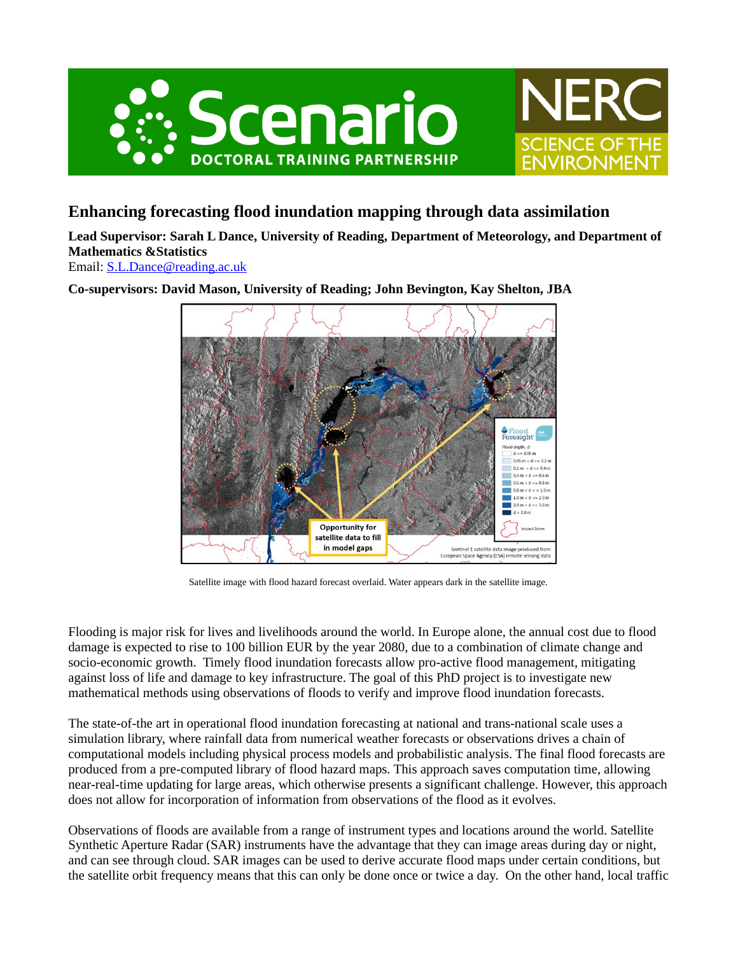



## **Enhancing forecasting flood inundation mapping through data assimilation**

**Lead Supervisor: Sarah L Dance, University of Reading, Department of Meteorology, and Department of Mathematics &Statistics**

Email: [S.L.Dance@reading.ac.uk](mailto:S.L.Dance@reading.ac.uk)

**Co-supervisors: David Mason, University of Reading; John Bevington, Kay Shelton, JBA**



Satellite image with flood hazard forecast overlaid. Water appears dark in the satellite image.

Flooding is major risk for lives and livelihoods around the world. In Europe alone, the annual cost due to flood damage is expected to rise to 100 billion EUR by the year 2080, due to a combination of climate change and socio-economic growth. Timely flood inundation forecasts allow pro-active flood management, mitigating against loss of life and damage to key infrastructure. The goal of this PhD project is to investigate new mathematical methods using observations of floods to verify and improve flood inundation forecasts.

The state-of-the art in operational flood inundation forecasting at national and trans-national scale uses a simulation library, where rainfall data from numerical weather forecasts or observations drives a chain of computational models including physical process models and probabilistic analysis. The final flood forecasts are produced from a pre-computed library of flood hazard maps. This approach saves computation time, allowing near-real-time updating for large areas, which otherwise presents a significant challenge. However, this approach does not allow for incorporation of information from observations of the flood as it evolves.

Observations of floods are available from a range of instrument types and locations around the world. Satellite Synthetic Aperture Radar (SAR) instruments have the advantage that they can image areas during day or night, and can see through cloud. SAR images can be used to derive accurate flood maps under certain conditions, but the satellite orbit frequency means that this can only be done once or twice a day. On the other hand, local traffic